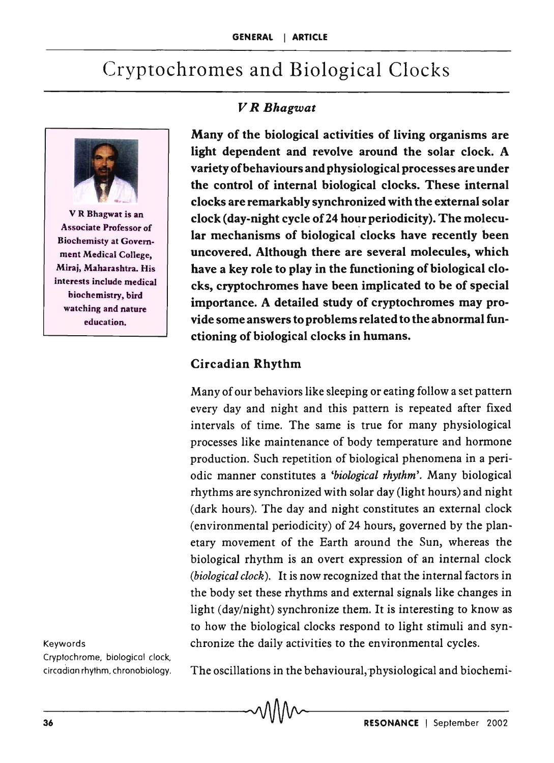# Cryptochromes and Biological Clocks



V R Bhagwat is an Associate Professor of Biochemisty at Government Medical College, Miraj, Maharashtra. His interests include medical biochemistry, bird watching and nature education.

#### Keywords

Cryptochrome, biological clock,

#### *V R Bhagwat*

Many of the biological activities of living organisms are light dependent and revolve around the solar clock. A variety of behaviours and physiological processes are under the control of internal biological clocks. These internal clocks are remarkably synchronized with the external solar clock (day-night cycle of 24 hour periodicity). The molecular mechanisms of biological clocks have recently been uncovered. Although there are several molecules, which have a key role to play in the functioning of biological clocks, cryptochromes have been implicated to be of special importance. A detailed study of cryptochromes may provide some answers to problems related to the abnormal functioning of biological clocks in humans.

#### Circadian Rhythm

Many of our behaviors like sleeping or eating follow a set pattern every day and night and this pattern is repeated after fixed intervals of time. The same is true for many physiological processes like maintenance of body temperature and hormone production. Such repetition of biological phenomena in a periodic manner constitutes a *'biological rhythm'.* Many biological rhythms are synchronized with solar day (light hours) and night (dark hours). The day and night constitutes an external clock (environmental periodicity) of 24 hours, governed by the planetary movement of the Earth around the Sun, whereas the biological rhythm is an overt expression of an internal clock *(biological clock).* It is now recognized that the internal factors in the body set these rhythms and external signals like changes in light (day/night) synchronize them. It is interesting to know as to how the biological clocks respond to light stimuli and synchronize the daily activities to the environmental cycles.

circadian rhythm, chronobiology. The oscillations in the behavioural;physiological and biochemi-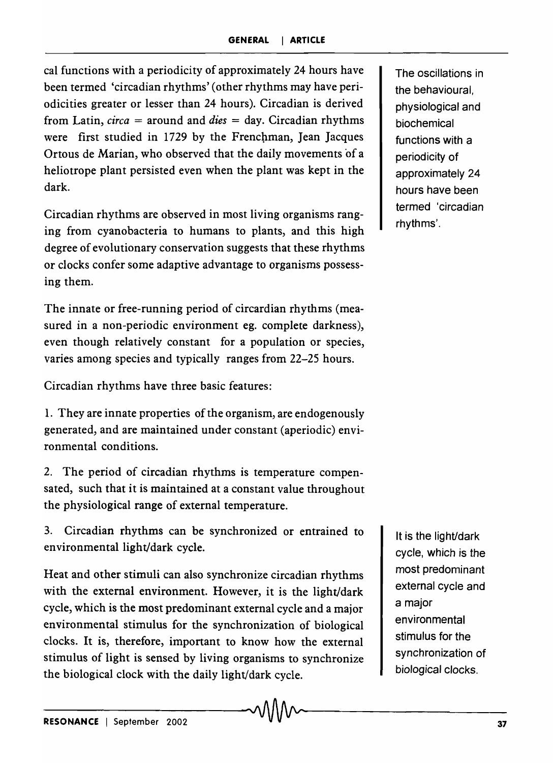cal functions with a periodicity of approximately 24 hours have been termed 'circadian rhythms' (other rhythms may have periodicities greater or lesser than 24 hours). Circadian is derived from Latin, *circa* = around and *dies* = day. Circadian rhythms were first studied in 1729 by the Frenchman, Jean Jacques Ortous de Marian, who observed that the daily movements of a heliotrope plant persisted even when the plant was kept in the dark.

Circadian rhythms are observed in most living organisms ranging from cyanobacteria to humans to plants, and this high degree of evolutionary conservation suggests that these rhythms or clocks confer some adaptive advantage to organisms possessing them.

The innate or free-running period of circardian rhythms (measured in a non-periodic environment eg. complete darkness), even though relatively constant for a population or species, varies among species and typically ranges from 22-25 hours.

Circadian rhythms have three basic features:

1. They are innate properties of the organism, are endogenously generated, and are maintained under constant (aperiodic) environmental conditions.

2. The period of circadian rhythms is temperature compensated, such that it is maintained at a constant value throughout the physiological range of external temperature.

3. Circadian rhythms can be synchronized or entrained to environmental light/dark cycle.

Heat and other stimuli can also synchronize circadian rhythms with the external environment. However, it is the light/dark cycle, which is the most predominant external cycle and a major environmental stimulus for the synchronization of biological clocks. It is, therefore, important to know how the external stimulus of light is sensed by living organisms to synchronize the biological clock with the daily light/dark cycle.

The oscillations in the behavioural, physiological and biochemical functions with a periodicity of approximately 24 hours have been termed 'circadian rhythms'.

It is the light/dark cycle, which is the most predominant external cycle and a major environmental stimulus for the synchronization of biological clocks.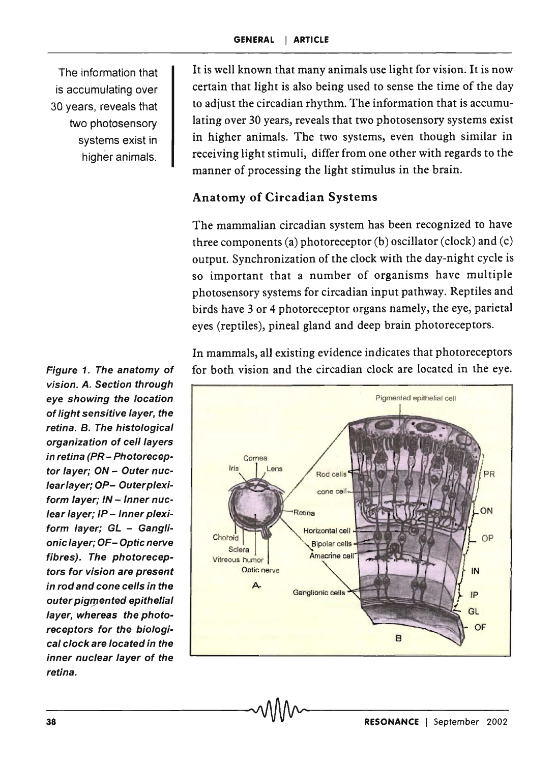The information that is accumulating over 30 years, reveals that two photosensory systems exist in higher animals.

vision. A. Section through eye showing the location of light sensitive layer, the retina. B. The histological organization of cell layers in retina (PR- Photoreceptor layer: ON - Outer nuclearlayer; OP- Outerplexiform layer; IN - Inner nuclear layer; IP - Inner plexiform layer; GL - Ganglionic layer; OF- Optic nerve fibres). The photoreceptors for vision are present in rod and cone cells in the outer pigmented epithelial layer, whereas the photoreceptors for the biological clock are located in the inner nuclear layer of the retina.

It is well known that many animals use light for vision. It is now certain that light is also being used to sense the time of the day to adjust the circadian rhythm. The information that is accumulating over 30 years, reveals that two photosensory systems exist in higher animals. The two systems, even though similar in receiving light stimuli, differ from one other with regards to the manner of processing the light stimulus in the brain.

### Anatomy of Circadian Systems

The mammalian circadian system has been recognized to have three components (a) photoreceptor (b) oscillator (clock) and (c) output. Synchronization of the clock with the day-night cycle is so important that a number of organisms have multiple photosensory systems for circadian input pathway. Reptiles and birds have 3 or 4 photoreceptor organs namely, the eye, parietal eyes (reptiles), pineal gland and deep brain photoreceptors.

In mammals, all existing evidence indicates that photoreceptors Figure 1. The anatomy of for both vision and the circadian clock are located in the eye.

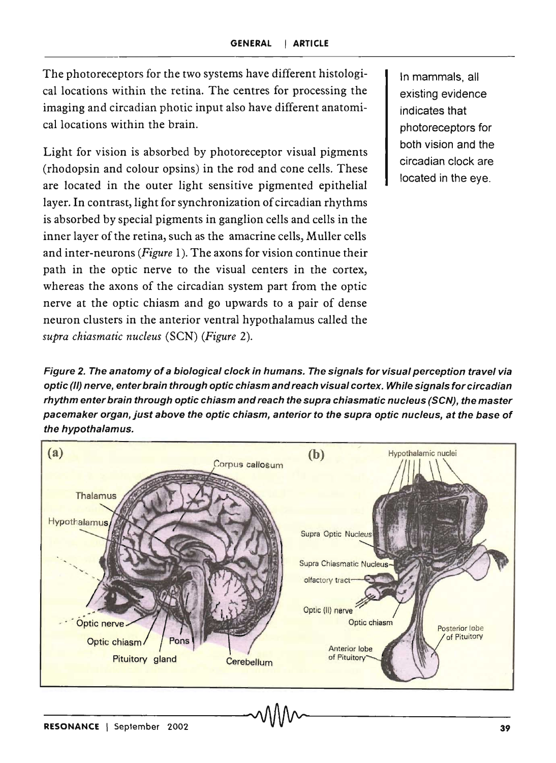The photoreceptors for the two systems have different histological locations within the retina. The centres for processing the imaging and circadian photic input also have different anatomical locations within the brain.

Light for vision is absorbed by photoreceptor visual pigments (rhodopsin and colour opsins) in the rod and cone cells. These are located in the outer light sensitive pigmented epithelial layer. In contrast, light for synchronization of circadian rhythms is absorbed by special pigments in ganglion cells and cells in the inner layer of the retina, such as the amacrine cells, Muller cells and inter-neurons *(Figure* 1). The axons for vision continue their path in the optic nerve to the visual centers in the cortex, whereas the axons of the circadian system part from the optic nerve at the optic chiasm and go upwards to a pair of dense neuron clusters in the anterior ventral hypothalamus called the *supra chiasmatic nucleus* (SeN) *(Figure 2).* 

In mammals, all existing evidence indicates that photoreceptors for both vision and the circadian clock are located in the eye.

Figure 2. The anatomy of a biological clock in humans. The signals for visual perception travel via optic (/I) nerve, enter brain through optic chiasm and reach visual cortex. While signals for circadian rhythm enter brain through optic chiasm and reach the supra chiasmatic nucleus (SCN), the master pacemaker organ, just above the optic chiasm, anterior to the supra optic nucleus, at the base of the hypothalamus.

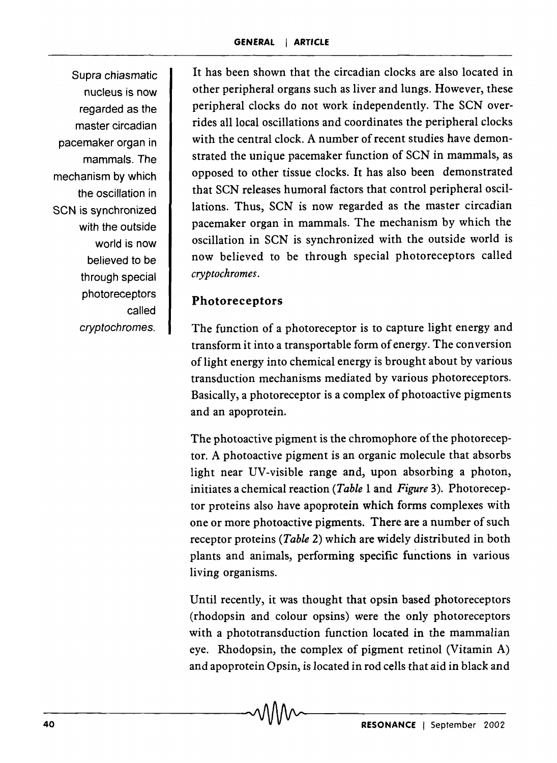Supra chiasmatic nucleus is now regarded as the master circadian pacemaker organ in mammals. The mechanism by which the oscillation in SCN is synchronized with the outside world is now believed to be through special photoreceptors called cryptochromes.

It has been shown that the circadian clocks are also located in other peripheral organs such as liver and lungs. However, these peripheral clocks do not work independently. The SCN overrides all local oscillations and coordinates the peripheral clocks with the central clock. A number of recent studies have demonstrated the unique pacemaker function of SCN in mammals, as opposed to other tissue clocks. It has also been demonstrated that SCN releases humoral factors that control peripheral oscillations. Thus, SCN is now regarded as the master circadian pacemaker organ in mammals. The mechanism by which the oscillation in SCN is synchronized with the outside world is now believed to be through special photoreceptors called *cryptochromes.* 

### Photoreceptors

The function of a photoreceptor is to capture light energy and transform it into a transportable form of energy. The conversion of light energy into chemical energy is brought about by various transduction mechanisms mediated by various photoreceptors. Basically, a photoreceptor is a complex of photoactive pigments and an apoprotein.

The photoactive pigment is the chromophore of the photoreceptor. A photoactive pigment is an organic molecule that absorbs light near UV-visible range and, upon absorbing a photon, initiates a chemical reaction *(Table* 1 and *Figure* 3). Photoreceptor proteins also have apoprotein which forms complexes with one or more photoactive pigments. There are a number of such receptor proteins *(Table* 2) which are widely distributed in both plants and animals, performing specific functions in various living organisms.

Until recently, it was thought that opsin based photoreceptors (rhodopsin and colour opsins) were the only photoreceptors with a phototransduction function located in the mammalian eye. Rhodopsin, the complex of pigment retinol (Vitamin A) and apoprotein Opsin, is located in rod cells that aid in black and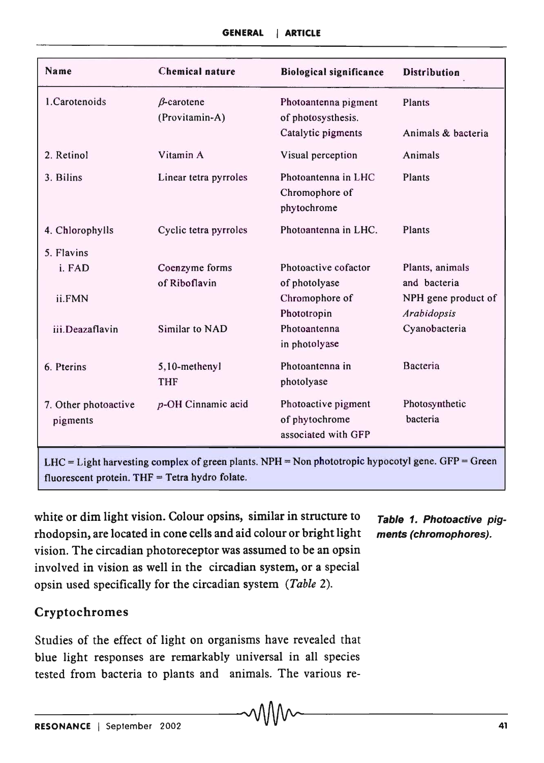| Name                             | Chemical nature                     | <b>Biological significance</b>                               | <b>Distribution</b>                                |
|----------------------------------|-------------------------------------|--------------------------------------------------------------|----------------------------------------------------|
| 1. Carotenoids                   | $\beta$ -carotene<br>(Provitamin-A) | Photoantenna pigment<br>of photosysthesis.                   | Plants                                             |
|                                  |                                     | Catalytic pigments                                           | Animals & bacteria                                 |
| 2. Retinol                       | Vitamin A                           | Visual perception                                            | Animals                                            |
| 3. Bilins                        | Linear tetra pyrroles               | Photoantenna in LHC<br>Chromophore of<br>phytochrome         | Plants                                             |
| 4. Chlorophylls                  | Cyclic tetra pyrroles               | Photoantenna in LHC.                                         | Plants                                             |
| 5. Flavins                       |                                     |                                                              |                                                    |
| i. FAD                           | Coenzyme forms                      | Photoactive cofactor                                         | Plants, animals                                    |
| ii.FMN                           | of Riboflavin                       | of photolyase<br>Chromophore of<br>Phototropin               | and bacteria<br>NPH gene product of<br>Arabidopsis |
| iii.Deazaflavin                  | Similar to NAD                      | Photoantenna<br>in photolyase                                | Cyanobacteria                                      |
| 6. Pterins                       | 5,10-methenyl<br><b>THF</b>         | Photoantenna in<br>photolyase                                | Bacteria                                           |
| 7. Other photoactive<br>pigments | p-OH Cinnamic acid                  | Photoactive pigment<br>of phytochrome<br>associated with GFP | Photosynthetic<br>bacteria                         |

LHC = Light harvesting complex of green plants. NPH = Non phototropic hypocotyl gene. GFP = Green fluorescent protein.  $THF = Tetra$  hydro folate.

white or dim light vision. Colour opsins, similar in structure to  $\tau$ able 1. Photoactive pigrhodopsin, are located in cone cells and aid colour or bright light ments (chromophores). vision. The circadian photoreceptor was assumed to be an opsin involved in vision as well in the circadian system, or a special opsin used specifically for the circadian system *(Table 2).* 

### Cryptochromes

Studies of the effect of light on organisms have revealed that blue light responses are remarkably universal in all species tested from bacteria to plants and animals. The various re-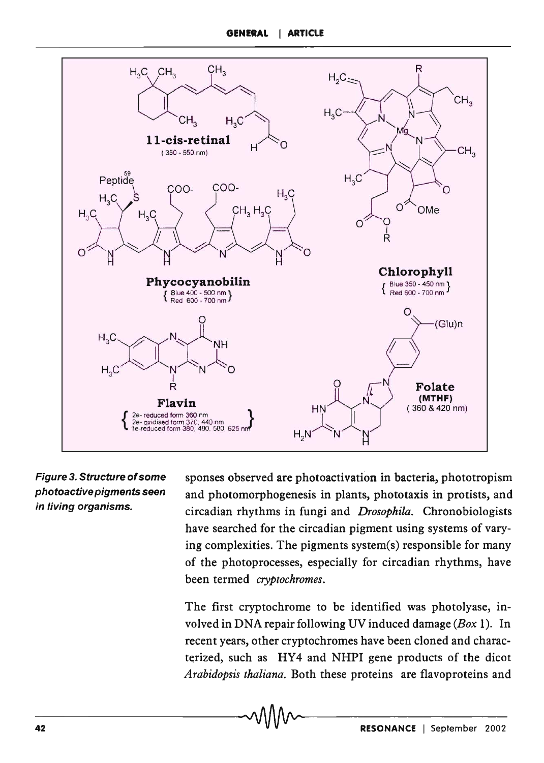

Figure 3. Structure of some photoactive pigments seen in living organisms.

sponses observed are photo activation in bacteria, phototropism and photomorphogenesis in plants, phototaxis in protists, and circadian rhythms in fungi and *Drosophila.* Chronobiologists have searched for the circadian pigment using systems of varying complexities. The pigments system(s) responsible for many of the photoprocesses, especially for circadian rhythms, have been termed *cryptochromes.* 

The first cryptochrome to be identified was photolyase, involved in DNA repair following UV induced damage *(Box* 1). In recent years, other cryptochromes have been cloned and characterized, such as HY4 and NHPI gene products of the dicot *Arabidopsis thaliana.* Both these proteins are flavoproteins and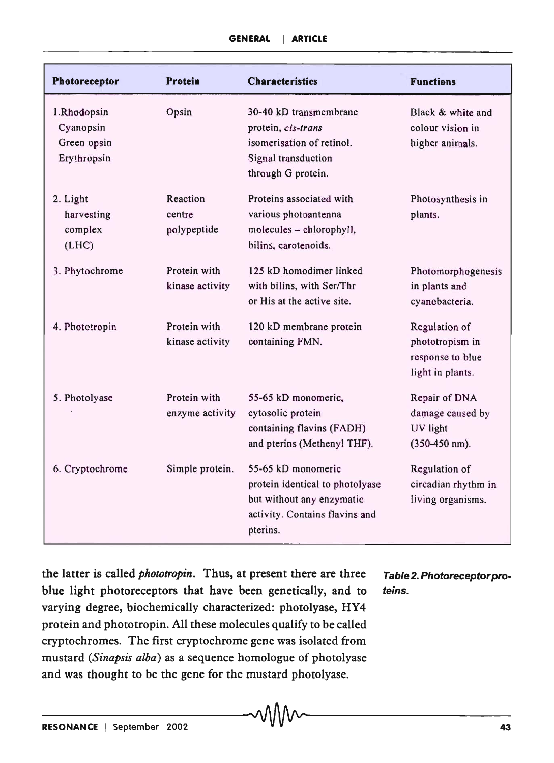| Photoreceptor                                          | Protein                           | <b>Characteristics</b>                                                                                                           | <b>Functions</b>                                                         |
|--------------------------------------------------------|-----------------------------------|----------------------------------------------------------------------------------------------------------------------------------|--------------------------------------------------------------------------|
| 1.Rhodopsin<br>Cyanopsin<br>Green opsin<br>Erythropsin | Opsin                             | 30-40 kD transmembrane<br>protein, cis-trans<br>isomerisation of retinol.<br>Signal transduction<br>through G protein.           | Black & white and<br>colour vision in<br>higher animals.                 |
| 2. Light<br>harvesting<br>complex<br>(LHC)             | Reaction<br>centre<br>polypeptide | Proteins associated with<br>various photoantenna<br>molecules - chlorophyll,<br>bilins, carotenoids.                             | Photosynthesis in<br>plants.                                             |
| 3. Phytochrome                                         | Protein with<br>kinase activity   | 125 kD homodimer linked<br>with bilins, with Ser/Thr<br>or His at the active site.                                               | Photomorphogenesis<br>in plants and<br>cyanobacteria.                    |
| 4. Phototropin                                         | Protein with<br>kinase activity   | 120 kD membrane protein<br>containing FMN.                                                                                       | Regulation of<br>phototropism in<br>response to blue<br>light in plants. |
| 5. Photolyase                                          | Protein with<br>enzyme activity   | 55-65 kD monomeric,<br>cytosolic protein<br>containing flavins (FADH)<br>and pterins (Methenyl THF).                             | Repair of DNA<br>damage caused by<br>UV light<br>$(350-450$ nm).         |
| 6. Cryptochrome                                        | Simple protein.                   | 55-65 kD monomeric<br>protein identical to photolyase<br>but without any enzymatic<br>activity. Contains flavins and<br>pterins. | Regulation of<br>circadian rhythm in<br>living organisms.                |

the latter is called *phototropin*. Thus, at present there are three Table 2. Photoreceptor problue light photoreceptors that have been genetically, and to teins. varying degree, biochemically characterized: photolyase, HY4 protein and phototropin. All these molecules qualify to be called cryptochromes. The first cryptochrome gene was isolated from mustard *(Sinapsis alba)* as a sequence homologue of photolyase and was thought to be the gene for the mustard photolyase.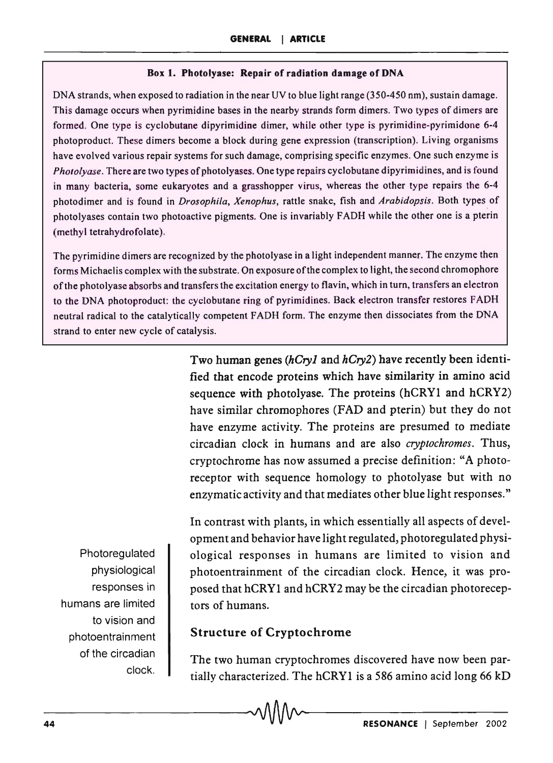#### Box I. Photolyase: Repair of radiation damage of DNA

DNA strands, when exposed to radiation in the near UV to blue light range (350-450 nm), sustain damage. This damage occurs when pyrimidine bases in the nearby strands form dimers. Two types of dimers are formed. One type is cyclobutane dipyrimidine dimer, while other type is pyrimidine-pyrimidone 6-4 photoproduct. These dimers become a block during gene expression (transcription). Living organisms have evolved various repair systems for such damage, comprising specific enzymes. One such enzyme is *Photolyase.* There are two types of photolyases. One type repairs cyclobutane dipyrimidines, and is found in many bacteria, some eukaryotes and a grasshopper virus, whereas the other type repairs the 6-4 photodimer and is found in *Drosophila, Xenophus,* rattle snake, fish and *Arabidopsis.* Both types of photolyases contain two photoactive pigments. One is invariably FADH while the other one is a pterin (methyl tetrahydrofolate).

The pyrimidine dimers are recognized by the photolyase in a light independent manner. The enzyme then forms Michaelis complex with the substrate. On exposure of the complex to light, the second chromophore of the photo lyase absorbs and transfers the excitation energy to flavin, which in turn, transfers an electron to the DNA photoproduct: the cyclobutane ring of pyrimidines. Back electron transfer restores FADH neutral radical to the catalytically competent FADH form. The enzyme then dissociates from the DNA strand to enter new cycle of catalysis.

> Two human genes *(hCryl* and *hCry2)* have recently been identified that encode proteins which have similarity in amino acid sequence with photolyase. The proteins  $(hCRY1$  and  $hCRY2)$ have similar chromophores (FAD and pterin) but they do not have enzyme activity. The proteins are presumed to mediate circadian clock in humans and are also *cryptochromes.* Thus, cryptochrome has now assumed a precise definition: "A photoreceptor with sequence homology to photolyase but with no enzymatic activity and that mediates other blue light responses."

Photoregulated physiological responses in humans are limited to vision and photoentrainment of the circadian clock.

In contrast with plants, in which essentially all aspects of development and behavior have light regulated, photoregulated physiological responses in humans are limited to vision and photoentrainment of the circadian clock. Hence, it was proposed that hCRY1 and hCRY2 may be the circadian photoreceptors of humans.

### Structure of Cryptochrome

The two human cryptochromes discovered have now been partially characterized. The hCRY1 is a 586 amino acid long 66  $kD$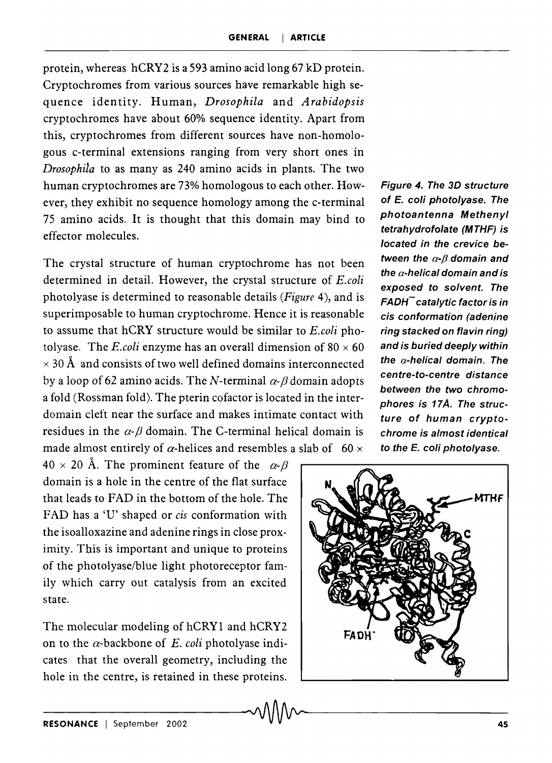protein, whereas hCRY2 is a 593 amino acid long 67 kD protein. Cryptochromes from various sources have remarkable high sequence identity. Human, *Drosophila* and *Arabidopsis*  cryptochromes have about 60% sequence identity. Apart from this, cryptochromes from different sources have non-homologous c-terminal extensions ranging from very short ones in *Drosophila* to as many as 240 amino acids in plants. The two human cryptochromes are 73% homologous to each other. However, they exhibit no sequence homology among the c-terminal 75 amino acids. It is thought that this domain may bind to effector molecules.

The crystal structure of human cryptochrome has not been determined in detail. However, the crystal structure of *E.coli*  photolyase is determined to reasonable details *(Figure* 4), and is superimposable to human cryptochrome. Hence it is reasonable to assume that hCRY structure would be similar to *E.coli* photolyase. The *E.coli* enzyme has an overall dimension of  $80 \times 60$  $\times$  30 Å and consists of two well defined domains interconnected by a loop of 62 amino acids. The N-terminal  $\alpha$ - $\beta$  domain adopts a fold (Rossman fold). The pterin cofactor is located in the interdomain cleft near the surface and makes intimate contact with residues in the  $\alpha$ - $\beta$  domain. The C-terminal helical domain is made almost entirely of  $\alpha$ -helices and resembles a slab of 60  $\times$ 

 $40 \times 20$  Å. The prominent feature of the  $\alpha-\beta$ domain is a hole in the centre of the flat surface that leads to FAD in the bottom of the hole. The FAD has a 'U' shaped or *cis* conformation with the isoalloxazine and adenine rings in close proximity. This is important and unique to proteins of the photolyase/blue light photoreceptor family which carry out catalysis from an excited state.

The molecular modeling of hCRYI and hCRY2 on to the  $\alpha$ -backbone of *E. coli* photolyase indicates that the overall geometry, including the hole in the centre, is retained in these proteins.

Figure 4. The 3D structure of *E.* coli photolyase. The photoantenna Methenyl tetrahydrofolate (MTHF) is located in the crevice between the  $\alpha$ - $\beta$  domain and the  $\alpha$ -helical domain and is exposed to solvent. The  $FADH<sup>-</sup>$  catalytic factor is in cis conformation (adenine ring stacked on flavin ring) and is buried deeply within the  $\alpha$ -helical domain. The centre-to-centre distance between the two chromophores is 17Å. The structure of human cryptochrome is almost identical to the *E.* coli photo/yase.

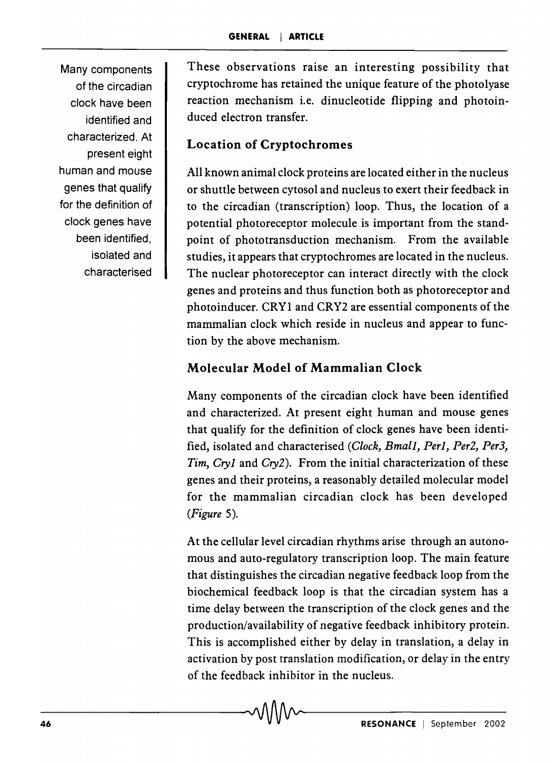Many components of the circadian clock have been identified and characterized. At present eight human and mouse genes that qualify for the definition of clock genes have been identified, isolated and characterised

These observations raise an interesting possibility that cryptochrome has retained the unique feature of the photo lyase reaction mechanism i.e. dinucleotide flipping and photoinduced electron transfer.

## **Location of Cryptochromes**

All known animal clock proteins are located either in the nucleus or shuttle between cytosol and nucleus to exert their feedback in to the circadian (transcription) loop. Thus, the location of a potential photoreceptor molecule is important from the standpoint of phototransduction mechanism. From the available studies, it appears that cryptochromes are located in the nucleus. The nuclear photoreceptor can interact directly with the clock genes and proteins and thus function both as photoreceptor and photoinducer. CRYl and CRY2 are essential components of the mammalian clock which reside in nucleus and appear to function by the above mechanism.

# **Molecular Model of Mammalian Clock**

Many components of the circadian clock have been identified and characterized. At present eight human and mouse genes that qualify for the definition of clock genes have been identified, isolated and characterised *(Clock, BmalJ, Perl, Per2, Per3, Tim, Cry1* and *Cry2).* From the initial characterization of these genes and their proteins, a reasonably detailed molecular model for the mammalian circadian clock has been developed *(Figure 5).* 

At the cellular level circadian rhythms arise through an autonomous and auto-regulatory transcription loop. The main feature that distinguishes the circadian negative feedback loop from the biochemical feedback loop is that the circadian system has a time delay between the transcription of the clock genes and the production/availability of negative feedback inhibitory protein. This is accomplished either by delay in translation, a delay in activation by post translation modification, or delay in the entry of the feedback inhibitor in the nucleus.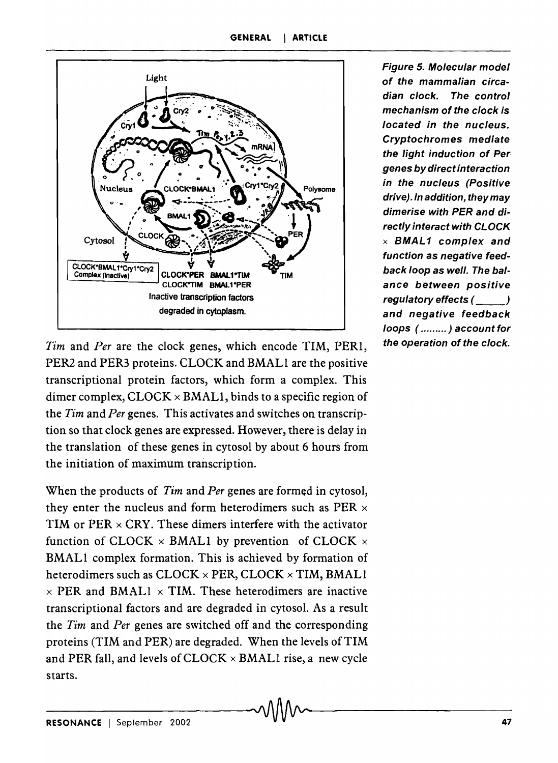

*Tim* and *Per* are the clock genes, which encode TIM, PERI, PER2 and PER3 proteins. CLOCK and BMALI are the positive transcriptional protein factors, which form a complex. This dimer complex,  $CLOCK \times BMAL1$ , binds to a specific region of the *Tim* and *Per* genes. This activates and switches on transcription so that clock genes are expressed. However, there is delay in the translation of these genes in cytosol by about 6 hours from the initiation of maximum transcription.

When the products of *Tim* and *Per* genes are formed in cytosol, they enter the nucleus and form heterodimers such as PER  $\times$ TIM or  $PER \times CRY$ . These dimers interfere with the activator function of CLOCK  $\times$  BMAL1 by prevention of CLOCK  $\times$ BMALI complex formation. This is achieved by formation of heterodimers such as  $CLOCK \times PER$ ,  $CLOCK \times TIM$ , BMAL1  $\times$  PER and BMAL1  $\times$  TIM. These heterodimers are inactive transcriptional factors and are degraded in cytosol. As a result the *Tim* and *Per* genes are switched off and the corresponding proteins (TIM and PER) are degraded. When the levels of TIM and PER fall, and levels of  $CLOCK \times BMAL1$  rise, a new cycle starts.

Figure 5. Molecular model of the mammalian circadian clock. The control mechanism of the clock is located in the nucleus. Cryptochromes mediate the light induction of Per genes by direct interaction in the nucleus (Positive drive). In addition, they may dimerise with PER and directly interact with CLOCK  $\times$  BMAL1 complex and function as negative feedback loop as well. The balance between positive regulatory effects (  $\qquad$  ) and negative feedback loops ( ......... ) account for the operation of the clock.